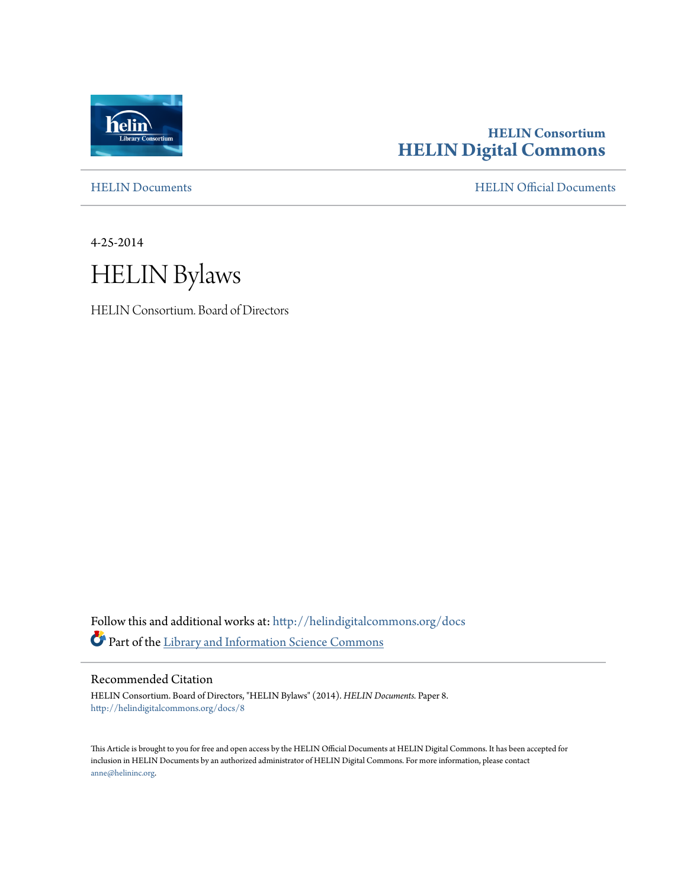

# **HELIN Consortium [HELIN Digital Commons](http://helindigitalcommons.org?utm_source=helindigitalcommons.org%2Fdocs%2F8&utm_medium=PDF&utm_campaign=PDFCoverPages)**

[HELIN Documents](http://helindigitalcommons.org/docs?utm_source=helindigitalcommons.org%2Fdocs%2F8&utm_medium=PDF&utm_campaign=PDFCoverPages) [HELIN Official Documents](http://helindigitalcommons.org/documents?utm_source=helindigitalcommons.org%2Fdocs%2F8&utm_medium=PDF&utm_campaign=PDFCoverPages)

4-25-2014



HELIN Consortium. Board of Directors

Follow this and additional works at: [http://helindigitalcommons.org/docs](http://helindigitalcommons.org/docs?utm_source=helindigitalcommons.org%2Fdocs%2F8&utm_medium=PDF&utm_campaign=PDFCoverPages) Part of the [Library and Information Science Commons](http://network.bepress.com/hgg/discipline/1018?utm_source=helindigitalcommons.org%2Fdocs%2F8&utm_medium=PDF&utm_campaign=PDFCoverPages)

Recommended Citation

HELIN Consortium. Board of Directors, "HELIN Bylaws" (2014). *HELIN Documents.* Paper 8. [http://helindigitalcommons.org/docs/8](http://helindigitalcommons.org/docs/8?utm_source=helindigitalcommons.org%2Fdocs%2F8&utm_medium=PDF&utm_campaign=PDFCoverPages)

This Article is brought to you for free and open access by the HELIN Official Documents at HELIN Digital Commons. It has been accepted for inclusion in HELIN Documents by an authorized administrator of HELIN Digital Commons. For more information, please contact [anne@helininc.org.](mailto:anne@helininc.org)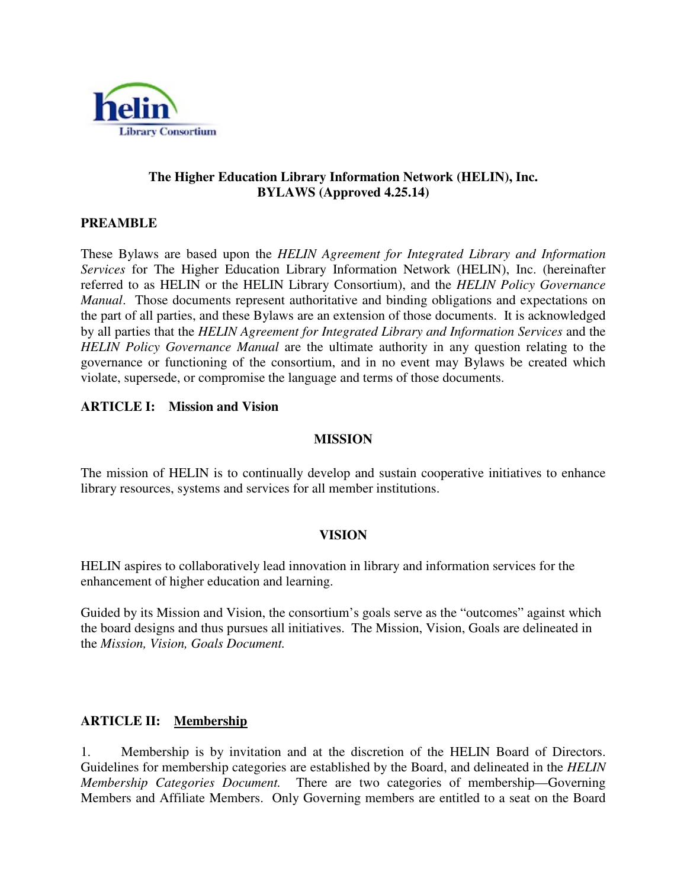

#### **The Higher Education Library Information Network (HELIN), Inc. BYLAWS (Approved 4.25.14)**

#### **PREAMBLE**

These Bylaws are based upon the *HELIN Agreement for Integrated Library and Information Services* for The Higher Education Library Information Network (HELIN), Inc. (hereinafter referred to as HELIN or the HELIN Library Consortium), and the *HELIN Policy Governance Manual*. Those documents represent authoritative and binding obligations and expectations on the part of all parties, and these Bylaws are an extension of those documents. It is acknowledged by all parties that the *HELIN Agreement for Integrated Library and Information Services* and the *HELIN Policy Governance Manual* are the ultimate authority in any question relating to the governance or functioning of the consortium, and in no event may Bylaws be created which violate, supersede, or compromise the language and terms of those documents.

#### **ARTICLE I: Mission and Vision**

#### **MISSION**

The mission of HELIN is to continually develop and sustain cooperative initiatives to enhance library resources, systems and services for all member institutions.

#### **VISION**

HELIN aspires to collaboratively lead innovation in library and information services for the enhancement of higher education and learning.

Guided by its Mission and Vision, the consortium's goals serve as the "outcomes" against which the board designs and thus pursues all initiatives. The Mission, Vision, Goals are delineated in the *Mission, Vision, Goals Document.* 

#### **ARTICLE II: Membership**

1. Membership is by invitation and at the discretion of the HELIN Board of Directors. Guidelines for membership categories are established by the Board, and delineated in the *HELIN Membership Categories Document.* There are two categories of membership—Governing Members and Affiliate Members. Only Governing members are entitled to a seat on the Board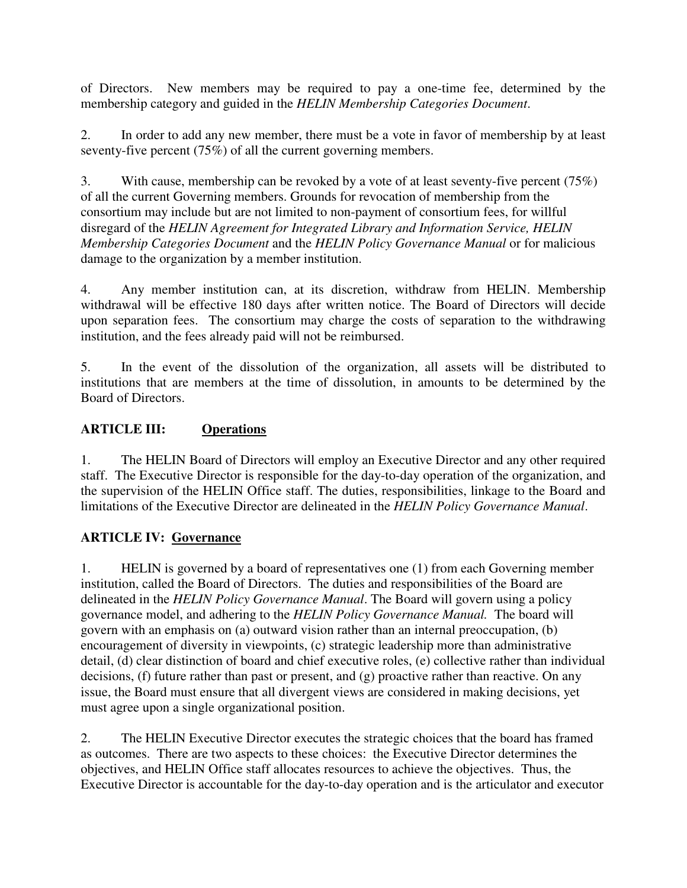of Directors. New members may be required to pay a one-time fee, determined by the membership category and guided in the *HELIN Membership Categories Document*.

2. In order to add any new member, there must be a vote in favor of membership by at least seventy-five percent (75%) of all the current governing members.

3. With cause, membership can be revoked by a vote of at least seventy-five percent (75%) of all the current Governing members. Grounds for revocation of membership from the consortium may include but are not limited to non-payment of consortium fees, for willful disregard of the *HELIN Agreement for Integrated Library and Information Service, HELIN Membership Categories Document* and the *HELIN Policy Governance Manual* or for malicious damage to the organization by a member institution.

4. Any member institution can, at its discretion, withdraw from HELIN. Membership withdrawal will be effective 180 days after written notice. The Board of Directors will decide upon separation fees. The consortium may charge the costs of separation to the withdrawing institution, and the fees already paid will not be reimbursed.

5. In the event of the dissolution of the organization, all assets will be distributed to institutions that are members at the time of dissolution, in amounts to be determined by the Board of Directors.

## **ARTICLE III: Operations**

1. The HELIN Board of Directors will employ an Executive Director and any other required staff. The Executive Director is responsible for the day-to-day operation of the organization, and the supervision of the HELIN Office staff. The duties, responsibilities, linkage to the Board and limitations of the Executive Director are delineated in the *HELIN Policy Governance Manual*.

## **ARTICLE IV: Governance**

1. HELIN is governed by a board of representatives one (1) from each Governing member institution, called the Board of Directors. The duties and responsibilities of the Board are delineated in the *HELIN Policy Governance Manual*. The Board will govern using a policy governance model, and adhering to the *HELIN Policy Governance Manual.* The board will govern with an emphasis on (a) outward vision rather than an internal preoccupation, (b) encouragement of diversity in viewpoints, (c) strategic leadership more than administrative detail, (d) clear distinction of board and chief executive roles, (e) collective rather than individual decisions, (f) future rather than past or present, and (g) proactive rather than reactive. On any issue, the Board must ensure that all divergent views are considered in making decisions, yet must agree upon a single organizational position.

2. The HELIN Executive Director executes the strategic choices that the board has framed as outcomes. There are two aspects to these choices: the Executive Director determines the objectives, and HELIN Office staff allocates resources to achieve the objectives. Thus, the Executive Director is accountable for the day-to-day operation and is the articulator and executor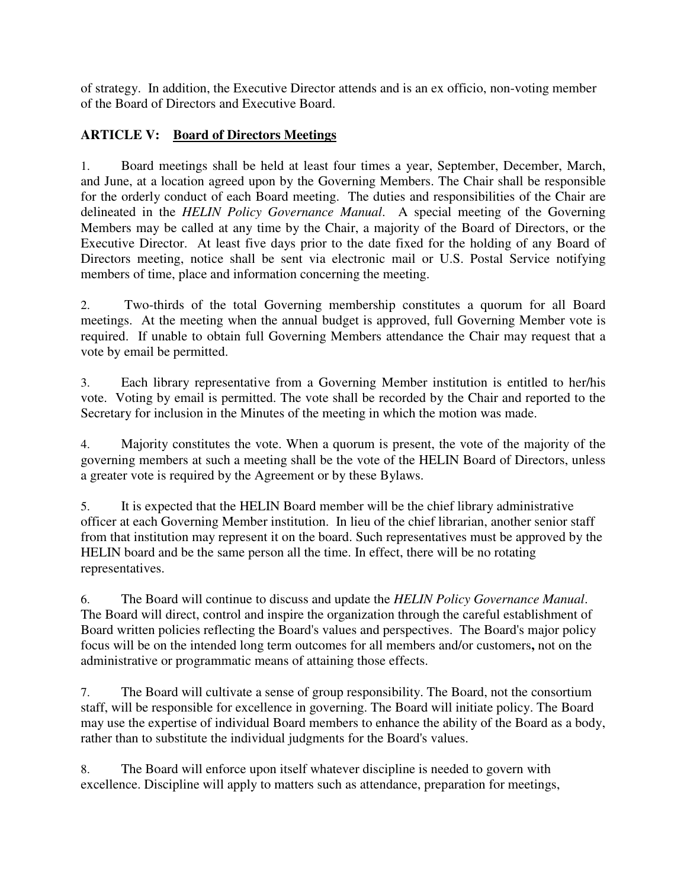of strategy. In addition, the Executive Director attends and is an ex officio, non-voting member of the Board of Directors and Executive Board.

# **ARTICLE V: Board of Directors Meetings**

1. Board meetings shall be held at least four times a year, September, December, March, and June, at a location agreed upon by the Governing Members. The Chair shall be responsible for the orderly conduct of each Board meeting. The duties and responsibilities of the Chair are delineated in the *HELIN Policy Governance Manual*. A special meeting of the Governing Members may be called at any time by the Chair, a majority of the Board of Directors, or the Executive Director. At least five days prior to the date fixed for the holding of any Board of Directors meeting, notice shall be sent via electronic mail or U.S. Postal Service notifying members of time, place and information concerning the meeting.

2. Two-thirds of the total Governing membership constitutes a quorum for all Board meetings. At the meeting when the annual budget is approved, full Governing Member vote is required. If unable to obtain full Governing Members attendance the Chair may request that a vote by email be permitted.

3. Each library representative from a Governing Member institution is entitled to her/his vote. Voting by email is permitted. The vote shall be recorded by the Chair and reported to the Secretary for inclusion in the Minutes of the meeting in which the motion was made.

4. Majority constitutes the vote. When a quorum is present, the vote of the majority of the governing members at such a meeting shall be the vote of the HELIN Board of Directors, unless a greater vote is required by the Agreement or by these Bylaws.

5. It is expected that the HELIN Board member will be the chief library administrative officer at each Governing Member institution. In lieu of the chief librarian, another senior staff from that institution may represent it on the board. Such representatives must be approved by the HELIN board and be the same person all the time. In effect, there will be no rotating representatives.

6. The Board will continue to discuss and update the *HELIN Policy Governance Manual*. The Board will direct, control and inspire the organization through the careful establishment of Board written policies reflecting the Board's values and perspectives. The Board's major policy focus will be on the intended long term outcomes for all members and/or customers**,** not on the administrative or programmatic means of attaining those effects.

7. The Board will cultivate a sense of group responsibility. The Board, not the consortium staff, will be responsible for excellence in governing. The Board will initiate policy. The Board may use the expertise of individual Board members to enhance the ability of the Board as a body, rather than to substitute the individual judgments for the Board's values.

8. The Board will enforce upon itself whatever discipline is needed to govern with excellence. Discipline will apply to matters such as attendance, preparation for meetings,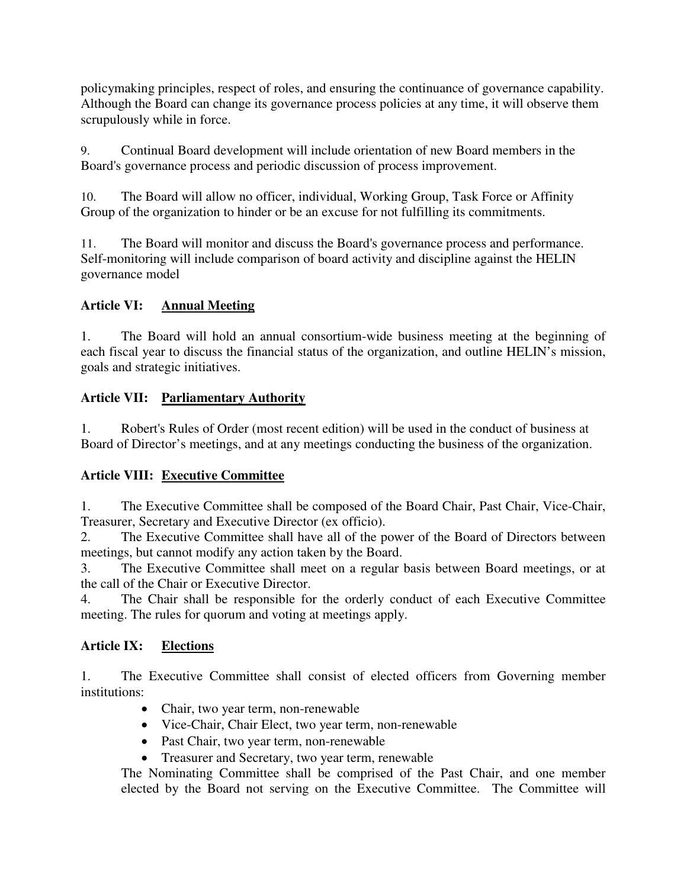policymaking principles, respect of roles, and ensuring the continuance of governance capability. Although the Board can change its governance process policies at any time, it will observe them scrupulously while in force.

9. Continual Board development will include orientation of new Board members in the Board's governance process and periodic discussion of process improvement.

10. The Board will allow no officer, individual, Working Group, Task Force or Affinity Group of the organization to hinder or be an excuse for not fulfilling its commitments.

11. The Board will monitor and discuss the Board's governance process and performance. Self-monitoring will include comparison of board activity and discipline against the HELIN governance model

# **Article VI: Annual Meeting**

1. The Board will hold an annual consortium-wide business meeting at the beginning of each fiscal year to discuss the financial status of the organization, and outline HELIN's mission, goals and strategic initiatives.

# **Article VII: Parliamentary Authority**

1. Robert's Rules of Order (most recent edition) will be used in the conduct of business at Board of Director's meetings, and at any meetings conducting the business of the organization.

# **Article VIII: Executive Committee**

1. The Executive Committee shall be composed of the Board Chair, Past Chair, Vice-Chair, Treasurer, Secretary and Executive Director (ex officio).

2. The Executive Committee shall have all of the power of the Board of Directors between meetings, but cannot modify any action taken by the Board.

3. The Executive Committee shall meet on a regular basis between Board meetings, or at the call of the Chair or Executive Director.

4. The Chair shall be responsible for the orderly conduct of each Executive Committee meeting. The rules for quorum and voting at meetings apply.

## **Article IX: Elections**

1. The Executive Committee shall consist of elected officers from Governing member institutions:

- Chair, two year term, non-renewable
- Vice-Chair, Chair Elect, two year term, non-renewable
- Past Chair, two year term, non-renewable
- Treasurer and Secretary, two year term, renewable

The Nominating Committee shall be comprised of the Past Chair, and one member elected by the Board not serving on the Executive Committee. The Committee will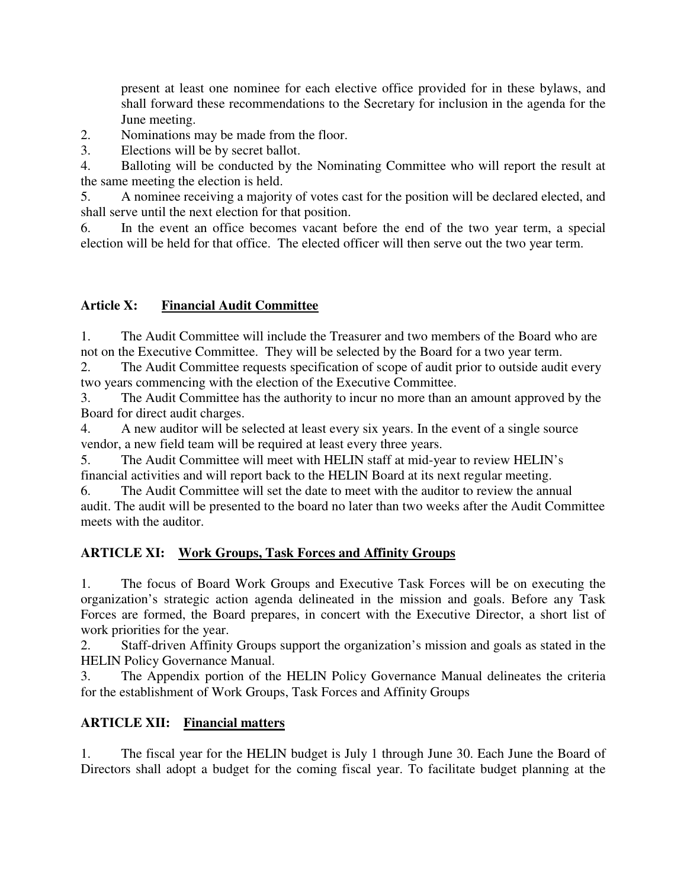present at least one nominee for each elective office provided for in these bylaws, and shall forward these recommendations to the Secretary for inclusion in the agenda for the June meeting.

2. Nominations may be made from the floor.

3. Elections will be by secret ballot.

4. Balloting will be conducted by the Nominating Committee who will report the result at the same meeting the election is held.

5. A nominee receiving a majority of votes cast for the position will be declared elected, and shall serve until the next election for that position.

6. In the event an office becomes vacant before the end of the two year term, a special election will be held for that office. The elected officer will then serve out the two year term.

## **Article X: Financial Audit Committee**

1. The Audit Committee will include the Treasurer and two members of the Board who are not on the Executive Committee. They will be selected by the Board for a two year term.

2. The Audit Committee requests specification of scope of audit prior to outside audit every two years commencing with the election of the Executive Committee.

3. The Audit Committee has the authority to incur no more than an amount approved by the Board for direct audit charges.

4. A new auditor will be selected at least every six years. In the event of a single source vendor, a new field team will be required at least every three years.

5. The Audit Committee will meet with HELIN staff at mid-year to review HELIN's financial activities and will report back to the HELIN Board at its next regular meeting.

6. The Audit Committee will set the date to meet with the auditor to review the annual audit. The audit will be presented to the board no later than two weeks after the Audit Committee meets with the auditor.

## **ARTICLE XI: Work Groups, Task Forces and Affinity Groups**

1. The focus of Board Work Groups and Executive Task Forces will be on executing the organization's strategic action agenda delineated in the mission and goals. Before any Task Forces are formed, the Board prepares, in concert with the Executive Director, a short list of work priorities for the year.

2. Staff-driven Affinity Groups support the organization's mission and goals as stated in the HELIN Policy Governance Manual.

3. The Appendix portion of the HELIN Policy Governance Manual delineates the criteria for the establishment of Work Groups, Task Forces and Affinity Groups

## **ARTICLE XII: Financial matters**

1. The fiscal year for the HELIN budget is July 1 through June 30. Each June the Board of Directors shall adopt a budget for the coming fiscal year. To facilitate budget planning at the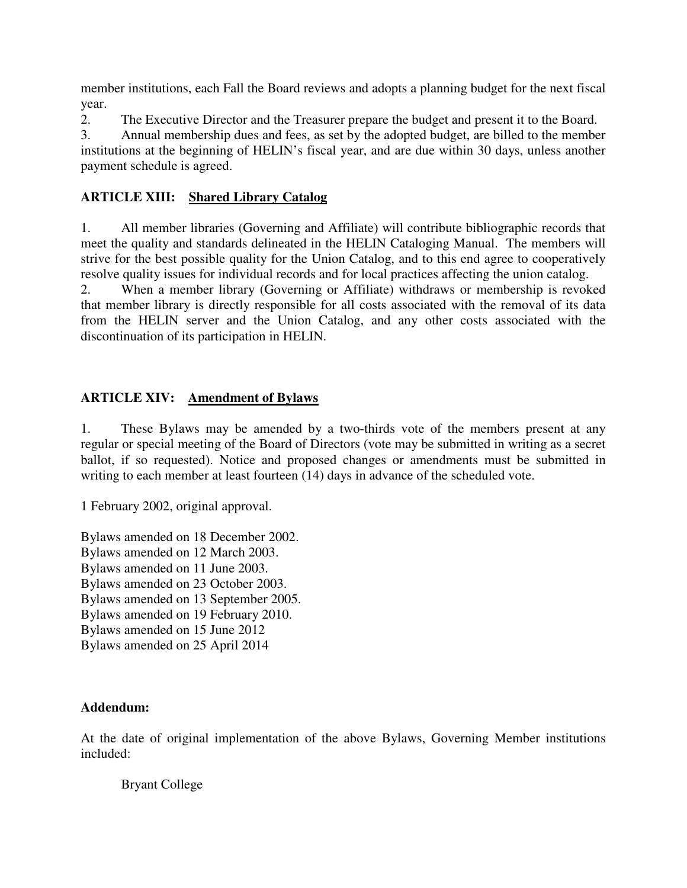member institutions, each Fall the Board reviews and adopts a planning budget for the next fiscal year.

2. The Executive Director and the Treasurer prepare the budget and present it to the Board.

3. Annual membership dues and fees, as set by the adopted budget, are billed to the member institutions at the beginning of HELIN's fiscal year, and are due within 30 days, unless another payment schedule is agreed.

## **ARTICLE XIII: Shared Library Catalog**

1. All member libraries (Governing and Affiliate) will contribute bibliographic records that meet the quality and standards delineated in the HELIN Cataloging Manual. The members will strive for the best possible quality for the Union Catalog, and to this end agree to cooperatively resolve quality issues for individual records and for local practices affecting the union catalog.

2. When a member library (Governing or Affiliate) withdraws or membership is revoked that member library is directly responsible for all costs associated with the removal of its data from the HELIN server and the Union Catalog, and any other costs associated with the discontinuation of its participation in HELIN.

## **ARTICLE XIV: Amendment of Bylaws**

1. These Bylaws may be amended by a two-thirds vote of the members present at any regular or special meeting of the Board of Directors (vote may be submitted in writing as a secret ballot, if so requested). Notice and proposed changes or amendments must be submitted in writing to each member at least fourteen (14) days in advance of the scheduled vote.

1 February 2002, original approval.

Bylaws amended on 18 December 2002. Bylaws amended on 12 March 2003. Bylaws amended on 11 June 2003. Bylaws amended on 23 October 2003. Bylaws amended on 13 September 2005. Bylaws amended on 19 February 2010. Bylaws amended on 15 June 2012 Bylaws amended on 25 April 2014

#### **Addendum:**

At the date of original implementation of the above Bylaws, Governing Member institutions included:

Bryant College